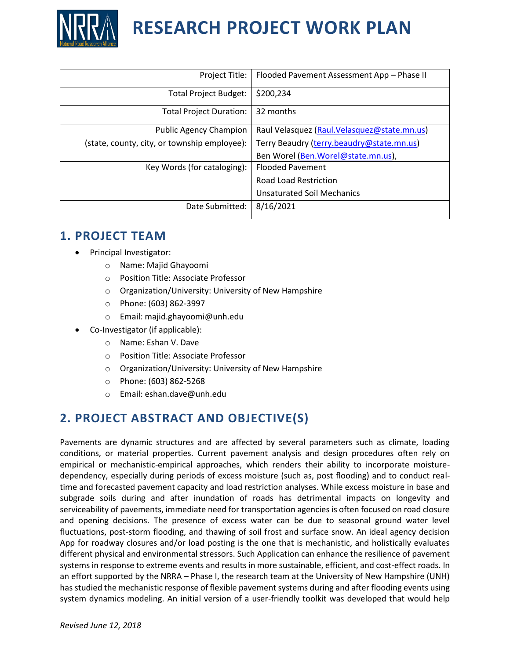

| Project Title:                               | Flooded Pavement Assessment App - Phase II  |
|----------------------------------------------|---------------------------------------------|
| <b>Total Project Budget:</b>                 | \$200,234                                   |
| <b>Total Project Duration:</b>               | 32 months                                   |
| <b>Public Agency Champion</b>                | Raul Velasquez (Raul.Velasquez@state.mn.us) |
| (state, county, city, or township employee): | Terry Beaudry (terry.beaudry@state.mn.us)   |
|                                              | Ben Worel (Ben. Worel@state.mn.us),         |
| Key Words (for cataloging):                  | <b>Flooded Pavement</b>                     |
|                                              | <b>Road Load Restriction</b>                |
|                                              | <b>Unsaturated Soil Mechanics</b>           |
| Date Submitted:                              | 8/16/2021                                   |

#### **1. PROJECT TEAM**

- Principal Investigator:
	- o Name: Majid Ghayoomi
	- o Position Title: Associate Professor
	- o Organization/University: University of New Hampshire
	- o Phone: (603) 862-3997
	- o Email: majid.ghayoomi@unh.edu
- Co-Investigator (if applicable):
	- o Name: Eshan V. Dave
	- o Position Title: Associate Professor
	- o Organization/University: University of New Hampshire
	- o Phone: (603) 862-5268
	- o Email: [eshan.dave@unh.edu](mailto:eshan.dave@unh.edu)

## **2. PROJECT ABSTRACT AND OBJECTIVE(S)**

Pavements are dynamic structures and are affected by several parameters such as climate, loading conditions, or material properties. Current pavement analysis and design procedures often rely on empirical or mechanistic-empirical approaches, which renders their ability to incorporate moisturedependency, especially during periods of excess moisture (such as, post flooding) and to conduct realtime and forecasted pavement capacity and load restriction analyses. While excess moisture in base and subgrade soils during and after inundation of roads has detrimental impacts on longevity and serviceability of pavements, immediate need for transportation agencies is often focused on road closure and opening decisions. The presence of excess water can be due to seasonal ground water level fluctuations, post-storm flooding, and thawing of soil frost and surface snow. An ideal agency decision App for roadway closures and/or load posting is the one that is mechanistic, and holistically evaluates different physical and environmental stressors. Such Application can enhance the resilience of pavement systems in response to extreme events and results in more sustainable, efficient, and cost-effect roads. In an effort supported by the NRRA – Phase I, the research team at the University of New Hampshire (UNH) has studied the mechanistic response of flexible pavement systems during and after flooding events using system dynamics modeling. An initial version of a user-friendly toolkit was developed that would help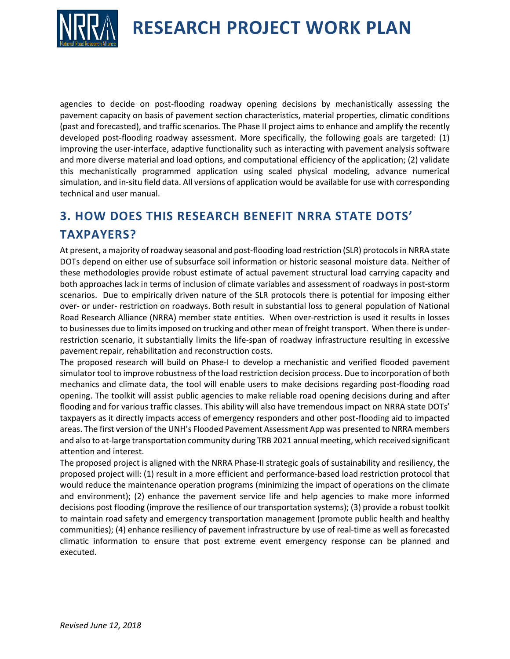

agencies to decide on post-flooding roadway opening decisions by mechanistically assessing the pavement capacity on basis of pavement section characteristics, material properties, climatic conditions (past and forecasted), and traffic scenarios. The Phase II project aims to enhance and amplify the recently developed post-flooding roadway assessment. More specifically, the following goals are targeted: (1) improving the user-interface, adaptive functionality such as interacting with pavement analysis software and more diverse material and load options, and computational efficiency of the application; (2) validate this mechanistically programmed application using scaled physical modeling, advance numerical simulation, and in-situ field data. All versions of application would be available for use with corresponding technical and user manual.

# **3. HOW DOES THIS RESEARCH BENEFIT NRRA STATE DOTS' TAXPAYERS?**

At present, a majority of roadway seasonal and post-flooding load restriction (SLR) protocols in NRRA state DOTs depend on either use of subsurface soil information or historic seasonal moisture data. Neither of these methodologies provide robust estimate of actual pavement structural load carrying capacity and both approaches lack in terms of inclusion of climate variables and assessment of roadways in post-storm scenarios. Due to empirically driven nature of the SLR protocols there is potential for imposing either over- or under- restriction on roadways. Both result in substantial loss to general population of National Road Research Alliance (NRRA) member state entities. When over-restriction is used it results in losses to businesses due to limits imposed on trucking and other mean of freight transport. When there is underrestriction scenario, it substantially limits the life-span of roadway infrastructure resulting in excessive pavement repair, rehabilitation and reconstruction costs.

The proposed research will build on Phase-I to develop a mechanistic and verified flooded pavement simulator tool to improve robustness of the load restriction decision process. Due to incorporation of both mechanics and climate data, the tool will enable users to make decisions regarding post-flooding road opening. The toolkit will assist public agencies to make reliable road opening decisions during and after flooding and for various traffic classes. This ability will also have tremendous impact on NRRA state DOTs' taxpayers as it directly impacts access of emergency responders and other post-flooding aid to impacted areas. The first version of the UNH's Flooded Pavement Assessment App was presented to NRRA members and also to at-large transportation community during TRB 2021 annual meeting, which received significant attention and interest.

The proposed project is aligned with the NRRA Phase-II strategic goals of sustainability and resiliency, the proposed project will: (1) result in a more efficient and performance-based load restriction protocol that would reduce the maintenance operation programs (minimizing the impact of operations on the climate and environment); (2) enhance the pavement service life and help agencies to make more informed decisions post flooding (improve the resilience of our transportation systems); (3) provide a robust toolkit to maintain road safety and emergency transportation management (promote public health and healthy communities); (4) enhance resiliency of pavement infrastructure by use of real-time as well as forecasted climatic information to ensure that post extreme event emergency response can be planned and executed.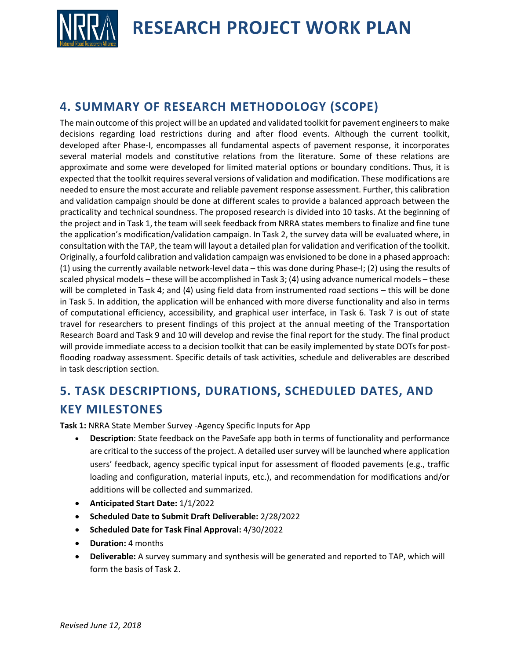

### **4. SUMMARY OF RESEARCH METHODOLOGY (SCOPE)**

The main outcome of this project will be an updated and validated toolkit for pavement engineers to make decisions regarding load restrictions during and after flood events. Although the current toolkit, developed after Phase-I, encompasses all fundamental aspects of pavement response, it incorporates several material models and constitutive relations from the literature. Some of these relations are approximate and some were developed for limited material options or boundary conditions. Thus, it is expected that the toolkit requires several versions of validation and modification. These modifications are needed to ensure the most accurate and reliable pavement response assessment. Further, this calibration and validation campaign should be done at different scales to provide a balanced approach between the practicality and technical soundness. The proposed research is divided into 10 tasks. At the beginning of the project and in Task 1, the team will seek feedback from NRRA states members to finalize and fine tune the application's modification/validation campaign. In Task 2, the survey data will be evaluated where, in consultation with the TAP, the team will layout a detailed plan for validation and verification of the toolkit. Originally, a fourfold calibration and validation campaign was envisioned to be done in a phased approach: (1) using the currently available network-level data – this was done during Phase-I; (2) using the results of scaled physical models – these will be accomplished in Task 3; (4) using advance numerical models – these will be completed in Task 4; and (4) using field data from instrumented road sections – this will be done in Task 5. In addition, the application will be enhanced with more diverse functionality and also in terms of computational efficiency, accessibility, and graphical user interface, in Task 6. Task 7 is out of state travel for researchers to present findings of this project at the annual meeting of the Transportation Research Board and Task 9 and 10 will develop and revise the final report for the study. The final product will provide immediate access to a decision toolkit that can be easily implemented by state DOTs for postflooding roadway assessment. Specific details of task activities, schedule and deliverables are described in task description section.

# **5. TASK DESCRIPTIONS, DURATIONS, SCHEDULED DATES, AND KEY MILESTONES**

**Task 1:** NRRA State Member Survey -Agency Specific Inputs for App

- **Description**: State feedback on the PaveSafe app both in terms of functionality and performance are critical to the success of the project. A detailed user survey will be launched where application users' feedback, agency specific typical input for assessment of flooded pavements (e.g., traffic loading and configuration, material inputs, etc.), and recommendation for modifications and/or additions will be collected and summarized.
- **Anticipated Start Date:** 1/1/2022
- **Scheduled Date to Submit Draft Deliverable:** 2/28/2022
- **Scheduled Date for Task Final Approval:** 4/30/2022
- **Duration:** 4 months
- **Deliverable:** A survey summary and synthesis will be generated and reported to TAP, which will form the basis of Task 2.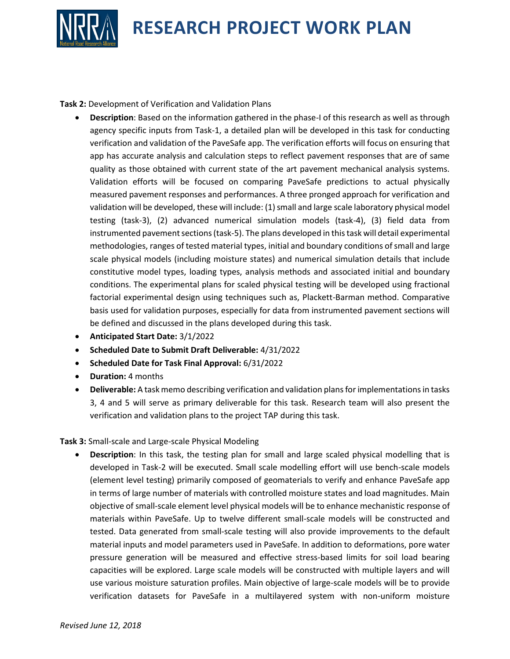

**Task 2:** Development of Verification and Validation Plans

- **Description**: Based on the information gathered in the phase-I of this research as well as through agency specific inputs from Task-1, a detailed plan will be developed in this task for conducting verification and validation of the PaveSafe app. The verification efforts will focus on ensuring that app has accurate analysis and calculation steps to reflect pavement responses that are of same quality as those obtained with current state of the art pavement mechanical analysis systems. Validation efforts will be focused on comparing PaveSafe predictions to actual physically measured pavement responses and performances. A three pronged approach for verification and validation will be developed, these will include: (1) small and large scale laboratory physical model testing (task-3), (2) advanced numerical simulation models (task-4), (3) field data from instrumented pavement sections (task-5). The plans developed in this task will detail experimental methodologies, ranges of tested material types, initial and boundary conditions of small and large scale physical models (including moisture states) and numerical simulation details that include constitutive model types, loading types, analysis methods and associated initial and boundary conditions. The experimental plans for scaled physical testing will be developed using fractional factorial experimental design using techniques such as, Plackett-Barman method. Comparative basis used for validation purposes, especially for data from instrumented pavement sections will be defined and discussed in the plans developed during this task.
- **Anticipated Start Date:** 3/1/2022
- **Scheduled Date to Submit Draft Deliverable:** 4/31/2022
- **Scheduled Date for Task Final Approval:** 6/31/2022
- **Duration:** 4 months
- **Deliverable:** A task memo describing verification and validation plans for implementations in tasks 3, 4 and 5 will serve as primary deliverable for this task. Research team will also present the verification and validation plans to the project TAP during this task.

#### **Task 3:** Small-scale and Large-scale Physical Modeling

• **Description**: In this task, the testing plan for small and large scaled physical modelling that is developed in Task-2 will be executed. Small scale modelling effort will use bench-scale models (element level testing) primarily composed of geomaterials to verify and enhance PaveSafe app in terms of large number of materials with controlled moisture states and load magnitudes. Main objective of small-scale element level physical models will be to enhance mechanistic response of materials within PaveSafe. Up to twelve different small-scale models will be constructed and tested. Data generated from small-scale testing will also provide improvements to the default material inputs and model parameters used in PaveSafe. In addition to deformations, pore water pressure generation will be measured and effective stress-based limits for soil load bearing capacities will be explored. Large scale models will be constructed with multiple layers and will use various moisture saturation profiles. Main objective of large-scale models will be to provide verification datasets for PaveSafe in a multilayered system with non-uniform moisture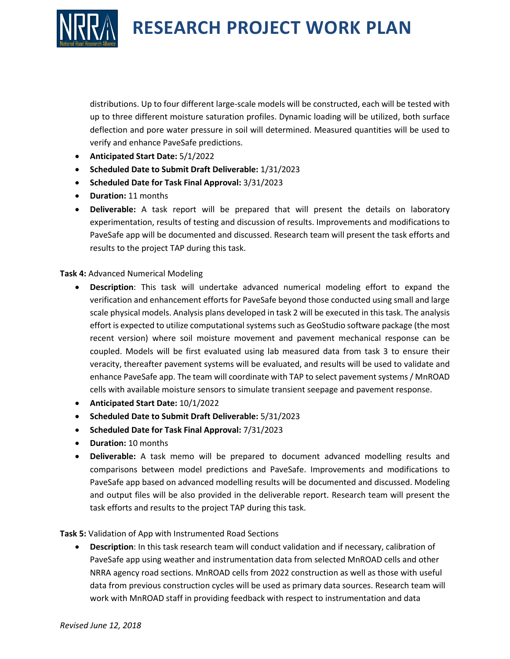

distributions. Up to four different large-scale models will be constructed, each will be tested with up to three different moisture saturation profiles. Dynamic loading will be utilized, both surface deflection and pore water pressure in soil will determined. Measured quantities will be used to verify and enhance PaveSafe predictions.

- **Anticipated Start Date:** 5/1/2022
- **Scheduled Date to Submit Draft Deliverable:** 1/31/2023
- **Scheduled Date for Task Final Approval:** 3/31/2023
- **Duration:** 11 months
- **Deliverable:** A task report will be prepared that will present the details on laboratory experimentation, results of testing and discussion of results. Improvements and modifications to PaveSafe app will be documented and discussed. Research team will present the task efforts and results to the project TAP during this task.

#### **Task 4:** Advanced Numerical Modeling

- **Description**: This task will undertake advanced numerical modeling effort to expand the verification and enhancement efforts for PaveSafe beyond those conducted using small and large scale physical models. Analysis plans developed in task 2 will be executed in this task. The analysis effort is expected to utilize computational systems such as GeoStudio software package (the most recent version) where soil moisture movement and pavement mechanical response can be coupled. Models will be first evaluated using lab measured data from task 3 to ensure their veracity, thereafter pavement systems will be evaluated, and results will be used to validate and enhance PaveSafe app. The team will coordinate with TAP to select pavement systems / MnROAD cells with available moisture sensors to simulate transient seepage and pavement response.
- **Anticipated Start Date:** 10/1/2022
- **Scheduled Date to Submit Draft Deliverable:** 5/31/2023
- **Scheduled Date for Task Final Approval:** 7/31/2023
- **Duration:** 10 months
- **Deliverable:** A task memo will be prepared to document advanced modelling results and comparisons between model predictions and PaveSafe. Improvements and modifications to PaveSafe app based on advanced modelling results will be documented and discussed. Modeling and output files will be also provided in the deliverable report. Research team will present the task efforts and results to the project TAP during this task.

**Task 5:** Validation of App with Instrumented Road Sections

• **Description**: In this task research team will conduct validation and if necessary, calibration of PaveSafe app using weather and instrumentation data from selected MnROAD cells and other NRRA agency road sections. MnROAD cells from 2022 construction as well as those with useful data from previous construction cycles will be used as primary data sources. Research team will work with MnROAD staff in providing feedback with respect to instrumentation and data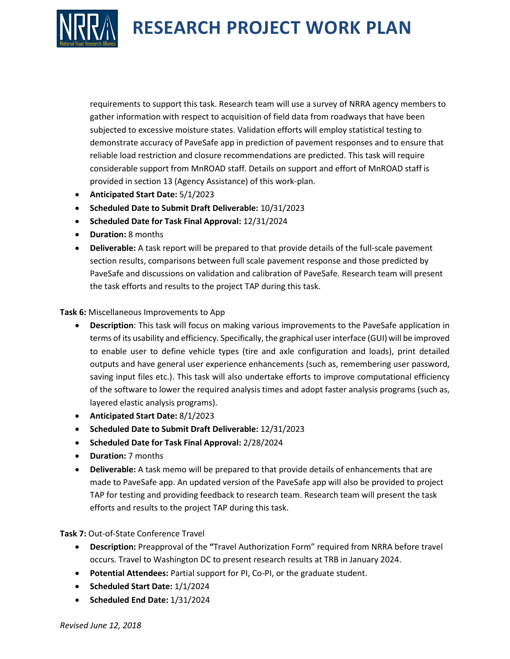

requirements to support this task. Research team will use a survey of NRRA agency members to gather information with respect to acquisition of field data from roadways that have been subjected to excessive moisture states. Validation efforts will employ statistical testing to demonstrate accuracy of PaveSafe app in prediction of pavement responses and to ensure that reliable load restriction and closure recommendations are predicted. This task will require considerable support from MnROAD staff. Details on support and effort of MnROAD staff is provided in section 13 (Agency Assistance) of this work-plan.

- **Anticipated Start Date:** 5/1/2023
- **Scheduled Date to Submit Draft Deliverable:** 10/31/2023
- **Scheduled Date for Task Final Approval:** 12/31/2024
- **Duration:** 8 months
- **Deliverable:** A task report will be prepared to that provide details of the full-scale pavement section results, comparisons between full scale pavement response and those predicted by PaveSafe and discussions on validation and calibration of PaveSafe. Research team will present the task efforts and results to the project TAP during this task.

#### **Task 6:** Miscellaneous Improvements to App

- **Description**: This task will focus on making various improvements to the PaveSafe application in terms of its usability and efficiency. Specifically, the graphical user interface (GUI) will be improved to enable user to define vehicle types (tire and axle configuration and loads), print detailed outputs and have general user experience enhancements (such as, remembering user password, saving input files etc.). This task will also undertake efforts to improve computational efficiency of the software to lower the required analysis times and adopt faster analysis programs (such as, layered elastic analysis programs).
- **Anticipated Start Date:** 8/1/2023
- **Scheduled Date to Submit Draft Deliverable:** 12/31/2023
- **Scheduled Date for Task Final Approval:** 2/28/2024
- **Duration:** 7 months
- **Deliverable:** A task memo will be prepared to that provide details of enhancements that are made to PaveSafe app. An updated version of the PaveSafe app will also be provided to project TAP for testing and providing feedback to research team. Research team will present the task efforts and results to the project TAP during this task.

**Task 7:** Out-of-State Conference Travel

- **Description:** Preapproval of the **"**Travel Authorization Form" required from NRRA before travel occurs. Travel to Washington DC to present research results at TRB in January 2024.
- **Potential Attendees:** Partial support for PI, Co-PI, or the graduate student.
- **Scheduled Start Date:** 1/1/2024
- **Scheduled End Date:** 1/31/2024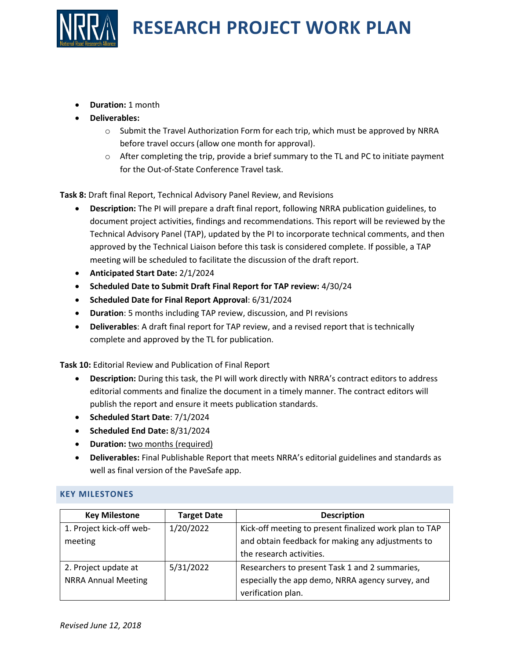

- **Duration:** 1 month
- **Deliverables:** 
	- $\circ$  Submit the Travel Authorization Form for each trip, which must be approved by NRRA before travel occurs (allow one month for approval).
	- $\circ$  After completing the trip, provide a brief summary to the TL and PC to initiate payment for the Out-of-State Conference Travel task.

**Task 8:** Draft final Report, Technical Advisory Panel Review, and Revisions

- **Description:** The PI will prepare a draft final report, following NRRA publication guidelines, to document project activities, findings and recommendations. This report will be reviewed by the Technical Advisory Panel (TAP), updated by the PI to incorporate technical comments, and then approved by the Technical Liaison before this task is considered complete. If possible, a TAP meeting will be scheduled to facilitate the discussion of the draft report.
- **Anticipated Start Date:** 2/1/2024
- **Scheduled Date to Submit Draft Final Report for TAP review:** 4/30/24
- **Scheduled Date for Final Report Approval**: 6/31/2024
- **Duration**: 5 months including TAP review, discussion, and PI revisions
- **Deliverables**: A draft final report for TAP review, and a revised report that is technically complete and approved by the TL for publication.

**Task 10:** Editorial Review and Publication of Final Report

- **Description:** During this task, the PI will work directly with NRRA's contract editors to address editorial comments and finalize the document in a timely manner. The contract editors will publish the report and ensure it meets publication standards.
- **Scheduled Start Date**: 7/1/2024
- **Scheduled End Date:** 8/31/2024
- **Duration:** two months (required)
- **Deliverables:** Final Publishable Report that meets NRRA's editorial guidelines and standards as well as final version of the PaveSafe app.

#### **KEY MILESTONES**

| <b>Key Milestone</b>       | <b>Target Date</b> | <b>Description</b>                                     |
|----------------------------|--------------------|--------------------------------------------------------|
| 1. Project kick-off web-   | 1/20/2022          | Kick-off meeting to present finalized work plan to TAP |
| meeting                    |                    | and obtain feedback for making any adjustments to      |
|                            |                    | the research activities.                               |
| 2. Project update at       | 5/31/2022          | Researchers to present Task 1 and 2 summaries,         |
| <b>NRRA Annual Meeting</b> |                    | especially the app demo, NRRA agency survey, and       |
|                            |                    | verification plan.                                     |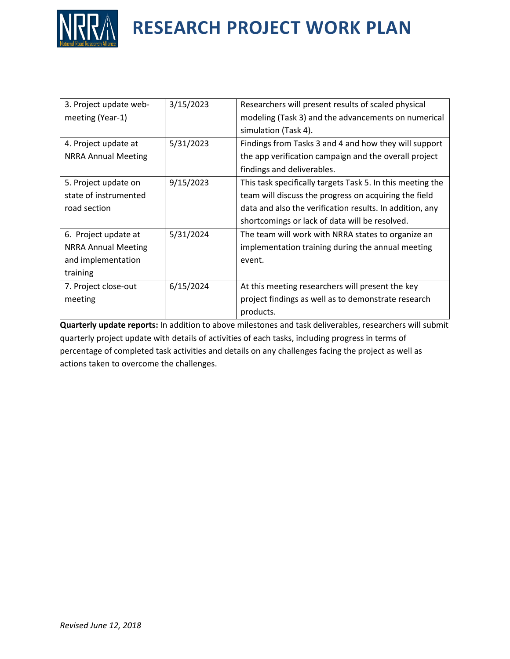

| 3. Project update web-     | 3/15/2023 | Researchers will present results of scaled physical        |
|----------------------------|-----------|------------------------------------------------------------|
| meeting (Year-1)           |           | modeling (Task 3) and the advancements on numerical        |
|                            |           | simulation (Task 4).                                       |
| 4. Project update at       | 5/31/2023 | Findings from Tasks 3 and 4 and how they will support      |
| <b>NRRA Annual Meeting</b> |           | the app verification campaign and the overall project      |
|                            |           | findings and deliverables.                                 |
| 5. Project update on       | 9/15/2023 | This task specifically targets Task 5. In this meeting the |
| state of instrumented      |           | team will discuss the progress on acquiring the field      |
| road section               |           | data and also the verification results. In addition, any   |
|                            |           | shortcomings or lack of data will be resolved.             |
| 6. Project update at       | 5/31/2024 | The team will work with NRRA states to organize an         |
| <b>NRRA Annual Meeting</b> |           | implementation training during the annual meeting          |
| and implementation         |           | event.                                                     |
| training                   |           |                                                            |
| 7. Project close-out       | 6/15/2024 | At this meeting researchers will present the key           |
| meeting                    |           | project findings as well as to demonstrate research        |
|                            |           | products.                                                  |

**Quarterly update reports:** In addition to above milestones and task deliverables, researchers will submit quarterly project update with details of activities of each tasks, including progress in terms of percentage of completed task activities and details on any challenges facing the project as well as actions taken to overcome the challenges.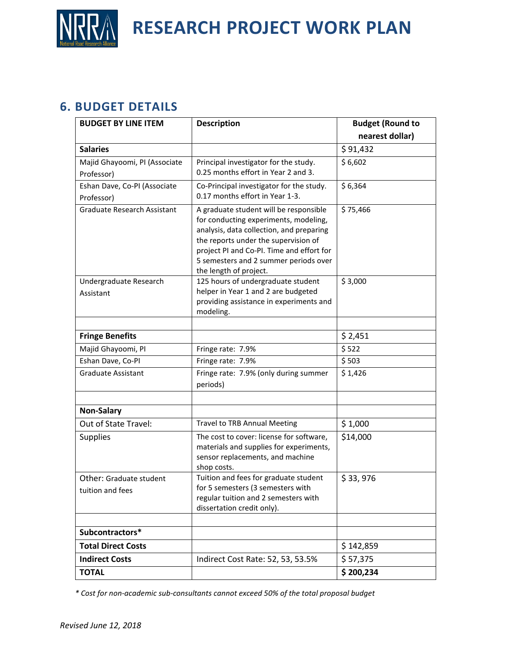

#### **6. BUDGET DETAILS**

| <b>BUDGET BY LINE ITEM</b>         | <b>Description</b>                                                                | <b>Budget (Round to</b> |
|------------------------------------|-----------------------------------------------------------------------------------|-------------------------|
|                                    |                                                                                   | nearest dollar)         |
| <b>Salaries</b>                    |                                                                                   | \$91,432                |
| Majid Ghayoomi, PI (Associate      | Principal investigator for the study.                                             | \$6,602                 |
| Professor)                         | 0.25 months effort in Year 2 and 3.                                               |                         |
| Eshan Dave, Co-PI (Associate       | Co-Principal investigator for the study.                                          | \$6,364                 |
| Professor)                         | 0.17 months effort in Year 1-3.                                                   |                         |
| <b>Graduate Research Assistant</b> | A graduate student will be responsible                                            | \$75,466                |
|                                    | for conducting experiments, modeling,<br>analysis, data collection, and preparing |                         |
|                                    | the reports under the supervision of                                              |                         |
|                                    | project PI and Co-PI. Time and effort for                                         |                         |
|                                    | 5 semesters and 2 summer periods over                                             |                         |
|                                    | the length of project.                                                            |                         |
| Undergraduate Research             | 125 hours of undergraduate student<br>helper in Year 1 and 2 are budgeted         | \$3,000                 |
| Assistant                          | providing assistance in experiments and                                           |                         |
|                                    | modeling.                                                                         |                         |
|                                    |                                                                                   |                         |
| <b>Fringe Benefits</b>             |                                                                                   | \$2,451                 |
| Majid Ghayoomi, PI                 | Fringe rate: 7.9%                                                                 | \$522                   |
| Eshan Dave, Co-PI                  | Fringe rate: 7.9%                                                                 | \$503                   |
| <b>Graduate Assistant</b>          | Fringe rate: 7.9% (only during summer                                             | \$1,426                 |
|                                    | periods)                                                                          |                         |
|                                    |                                                                                   |                         |
| <b>Non-Salary</b>                  |                                                                                   |                         |
| Out of State Travel:               | <b>Travel to TRB Annual Meeting</b>                                               | \$1,000                 |
| <b>Supplies</b>                    | The cost to cover: license for software,                                          | \$14,000                |
|                                    | materials and supplies for experiments,<br>sensor replacements, and machine       |                         |
|                                    | shop costs.                                                                       |                         |
| Other: Graduate student            | Tuition and fees for graduate student                                             | \$33,976                |
| tuition and fees                   | for 5 semesters (3 semesters with                                                 |                         |
|                                    | regular tuition and 2 semesters with                                              |                         |
|                                    | dissertation credit only).                                                        |                         |
| Subcontractors*                    |                                                                                   |                         |
| <b>Total Direct Costs</b>          |                                                                                   |                         |
|                                    |                                                                                   | \$142,859               |
| <b>Indirect Costs</b>              | Indirect Cost Rate: 52, 53, 53.5%                                                 | \$57,375                |
| <b>TOTAL</b>                       |                                                                                   | \$200,234               |

*\* Cost for non-academic sub-consultants cannot exceed 50% of the total proposal budget*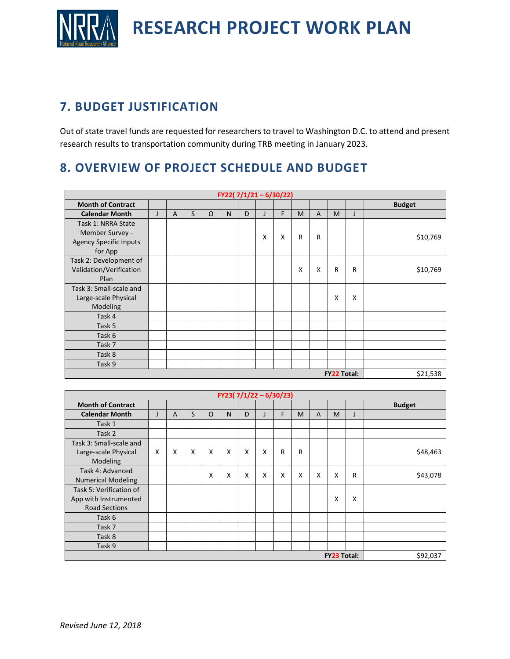

## **7. BUDGET JUSTIFICATION**

Out of state travel funds are requested for researchers to travel to Washington D.C. to attend and present research results to transportation community during TRB meeting in January 2023.

## **8. OVERVIEW OF PROJECT SCHEDULE AND BUDGET**

| FY22( $7/1/21 - 6/30/22$ )                                                        |   |                |   |          |   |   |   |   |          |   |   |   |               |
|-----------------------------------------------------------------------------------|---|----------------|---|----------|---|---|---|---|----------|---|---|---|---------------|
| <b>Month of Contract</b>                                                          |   |                |   |          |   |   |   |   |          |   |   |   | <b>Budget</b> |
| <b>Calendar Month</b>                                                             | J | $\overline{A}$ | S | $\Omega$ | N | D |   | F | M        | A | M | J |               |
| Task 1: NRRA State<br>Member Survey -<br><b>Agency Specific Inputs</b><br>for App |   |                |   |          |   |   | x | X | R        | R |   |   | \$10,769      |
| Task 2: Development of<br>Validation/Verification<br>Plan                         |   |                |   |          |   |   |   |   | X        | X | R | R | \$10,769      |
| Task 3: Small-scale and<br>Large-scale Physical<br>Modeling                       |   |                |   |          |   |   |   |   |          |   | X | X |               |
| Task 4                                                                            |   |                |   |          |   |   |   |   |          |   |   |   |               |
| Task 5                                                                            |   |                |   |          |   |   |   |   |          |   |   |   |               |
| Task 6                                                                            |   |                |   |          |   |   |   |   |          |   |   |   |               |
| Task 7                                                                            |   |                |   |          |   |   |   |   |          |   |   |   |               |
| Task 8                                                                            |   |                |   |          |   |   |   |   |          |   |   |   |               |
| Task 9                                                                            |   |                |   |          |   |   |   |   |          |   |   |   |               |
| <b>FY22 Total:</b>                                                                |   |                |   |          |   |   |   |   | \$21,538 |   |   |   |               |

| FY23( $7/1/22 - 6/30/23$ )     |              |   |   |          |   |   |   |   |   |   |   |              |               |
|--------------------------------|--------------|---|---|----------|---|---|---|---|---|---|---|--------------|---------------|
| <b>Month of Contract</b>       |              |   |   |          |   |   |   |   |   |   |   |              | <b>Budget</b> |
| <b>Calendar Month</b>          | $\mathbf{J}$ | A | S | $\Omega$ | N | D |   | F | M | A | M |              |               |
| Task 1                         |              |   |   |          |   |   |   |   |   |   |   |              |               |
| Task 2                         |              |   |   |          |   |   |   |   |   |   |   |              |               |
| Task 3: Small-scale and        |              |   |   |          |   |   |   |   |   |   |   |              |               |
| Large-scale Physical           | X            | X | X | X        | X | X | X | R | R |   |   |              | \$48,463      |
| Modeling                       |              |   |   |          |   |   |   |   |   |   |   |              |               |
| Task 4: Advanced               |              |   |   | x        | X | X | X | X | X | X | X | $\mathsf{R}$ | \$43,078      |
| <b>Numerical Modeling</b>      |              |   |   |          |   |   |   |   |   |   |   |              |               |
| Task 5: Verification of        |              |   |   |          |   |   |   |   |   |   |   |              |               |
| App with Instrumented          |              |   |   |          |   |   |   |   |   |   | x | x            |               |
| <b>Road Sections</b>           |              |   |   |          |   |   |   |   |   |   |   |              |               |
| Task 6                         |              |   |   |          |   |   |   |   |   |   |   |              |               |
| Task 7                         |              |   |   |          |   |   |   |   |   |   |   |              |               |
| Task 8                         |              |   |   |          |   |   |   |   |   |   |   |              |               |
| Task 9                         |              |   |   |          |   |   |   |   |   |   |   |              |               |
| \$92,037<br><b>FY23 Total:</b> |              |   |   |          |   |   |   |   |   |   |   |              |               |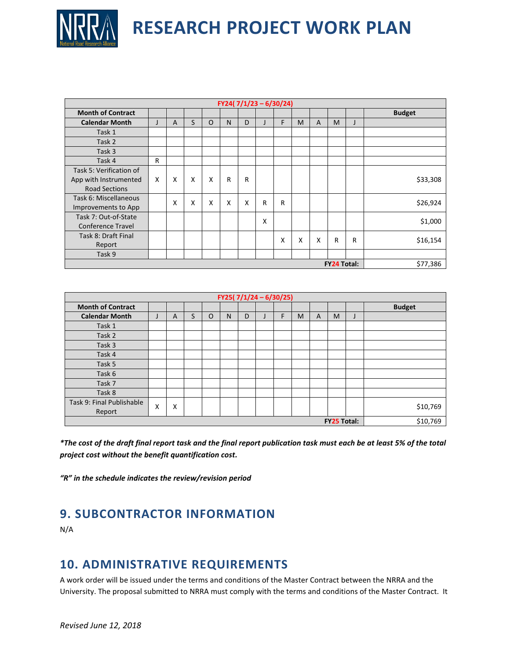

| FY24( $7/1/23 - 6/30/24$ )     |   |   |   |   |   |   |   |   |   |                |   |   |               |
|--------------------------------|---|---|---|---|---|---|---|---|---|----------------|---|---|---------------|
| <b>Month of Contract</b>       |   |   |   |   |   |   |   |   |   |                |   |   | <b>Budget</b> |
| <b>Calendar Month</b>          | J | A | S | O | N | D |   | F | M | $\overline{A}$ | M |   |               |
| Task 1                         |   |   |   |   |   |   |   |   |   |                |   |   |               |
| Task 2                         |   |   |   |   |   |   |   |   |   |                |   |   |               |
| Task 3                         |   |   |   |   |   |   |   |   |   |                |   |   |               |
| Task 4                         | R |   |   |   |   |   |   |   |   |                |   |   |               |
| Task 5: Verification of        |   |   |   |   |   |   |   |   |   |                |   |   |               |
| App with Instrumented          | X | X | X | X | R | R |   |   |   |                |   |   | \$33,308      |
| <b>Road Sections</b>           |   |   |   |   |   |   |   |   |   |                |   |   |               |
| Task 6: Miscellaneous          |   | X | X | X | X | X | R | R |   |                |   |   | \$26,924      |
| Improvements to App            |   |   |   |   |   |   |   |   |   |                |   |   |               |
| Task 7: Out-of-State           |   |   |   |   |   |   | x |   |   |                |   |   | \$1,000       |
| <b>Conference Travel</b>       |   |   |   |   |   |   |   |   |   |                |   |   |               |
| Task 8: Draft Final            |   |   |   |   |   |   |   | X | X | X              | R | R | \$16,154      |
| Report                         |   |   |   |   |   |   |   |   |   |                |   |   |               |
| Task 9                         |   |   |   |   |   |   |   |   |   |                |   |   |               |
| \$77,386<br><b>FY24 Total:</b> |   |   |   |   |   |   |   |   |   |                |   |   |               |

| FY25( $7/1/24 - 6/30/25$ ) |   |   |   |   |   |   |  |   |   |          |   |  |               |
|----------------------------|---|---|---|---|---|---|--|---|---|----------|---|--|---------------|
| <b>Month of Contract</b>   |   |   |   |   |   |   |  |   |   |          |   |  | <b>Budget</b> |
| <b>Calendar Month</b>      | J | A | S | O | N | D |  | F | M | A        | M |  |               |
| Task 1                     |   |   |   |   |   |   |  |   |   |          |   |  |               |
| Task 2                     |   |   |   |   |   |   |  |   |   |          |   |  |               |
| Task 3                     |   |   |   |   |   |   |  |   |   |          |   |  |               |
| Task 4                     |   |   |   |   |   |   |  |   |   |          |   |  |               |
| Task 5                     |   |   |   |   |   |   |  |   |   |          |   |  |               |
| Task 6                     |   |   |   |   |   |   |  |   |   |          |   |  |               |
| Task 7                     |   |   |   |   |   |   |  |   |   |          |   |  |               |
| Task 8                     |   |   |   |   |   |   |  |   |   |          |   |  |               |
| Task 9: Final Publishable  | X | X |   |   |   |   |  |   |   |          |   |  | \$10,769      |
| Report                     |   |   |   |   |   |   |  |   |   |          |   |  |               |
| <b>FY25 Total:</b>         |   |   |   |   |   |   |  |   |   | \$10,769 |   |  |               |

*\*The cost of the draft final report task and the final report publication task must each be at least 5% of the total project cost without the benefit quantification cost.*

*"R" in the schedule indicates the review/revision period*

### **9. SUBCONTRACTOR INFORMATION**

N/A

#### **10. ADMINISTRATIVE REQUIREMENTS**

A work order will be issued under the terms and conditions of the Master Contract between the NRRA and the University. The proposal submitted to NRRA must comply with the terms and conditions of the Master Contract. It